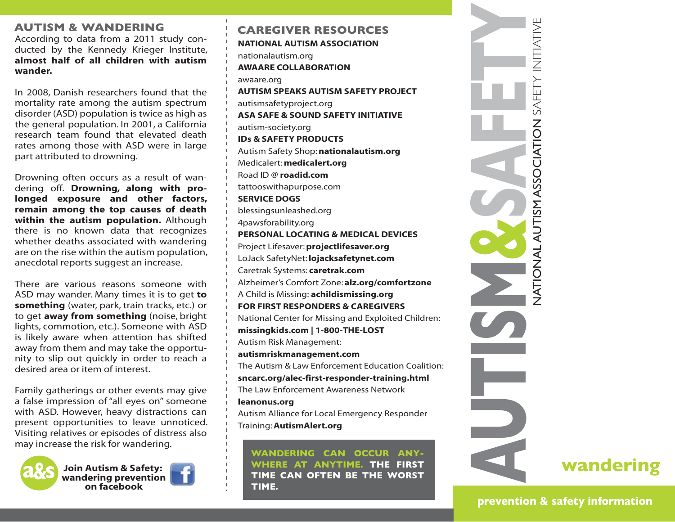## **AUTISM & WANDERING**

According to data from a 2011 study conducted by the Kennedy Krieger Institute, **almost half of all children with autism wander.**

In 2008, Danish researchers found that the mortality rate among the autism spectrum disorder (ASD) population is twice as high as the general population. In 2001, a California research team found that elevated death rates among those with ASD were in large part attributed to drowning.

Drowning often occurs as a result of wandering off. **Drowning, along with prolonged exposure and other factors, remain among the top causes of death within the autism population.** Although there is no known data that recognizes whether deaths associated with wandering are on the rise within the autism population, anecdotal reports suggest an increase.

There are various reasons someone with ASD may wander. Many times it is to get **to something** (water, park, train tracks, etc.) or to get **away from something** (noise, bright lights, commotion, etc.). Someone with ASD is likely aware when attention has shifted away from them and may take the opportunity to slip out quickly in order to reach a desired area or item of interest.

Family gatherings or other events may give a false impression of"all eyes on" someone with ASD. However, heavy distractions can present opportunities to leave unnoticed. Visiting relatives or episodes of distress also may increase the risk for wandering.



**Join Autism & Safety: wandering prevention on facebook**



**NATIONAL AUTISM ASSOCIATION** nationalautism.org **AWAARE COLLABORATION** awaare.org **AUTISM SPEAKS AUTISM SAFETY PROJECT** autismsafetyproject.org **ASA SAFE & SOUND SAFETY INITIATIVE** autism-society.org **IDs & SAFETY PRODUCTS** Autism Safety Shop:**nationalautism.org** Medicalert: **medicalert.org** Road ID @ **roadid.com** tattooswithapurpose.com **SERVICE DOGS** blessingsunleashed.org 4pawsforability.org **PERSONAL LOCATING & MEDICAL DEVICES** Project Lifesaver:**projectlifesaver.org** LoJack SafetyNet: **lojacksafetynet.com** Caretrak Systems: **caretrak.com** Alzheimer's Comfort Zone: **alz.org/comfortzone** A Child is Missing: **achildismissing.org FOR FIRST RESPONDERS & CAREGIVERS** National Center for Missing and Exploited Children: **missingkids.com | 1-800-THE-LOST** Autism Risk Management: **autismriskmanagement.com** The Autism & Law Enforcement Education Coalition: **sncarc.org/alec-first-responder-training.html** The Law Enforcement Awareness Network **leanonus.org** Autism Alliance for Local Emergency Responder Training:**AutismAlert.org CAREGIVER RESOURCES**

**WANDERING CAN OCCUR ANY-WHERE AT ANYTIME. THE FIRST TIME CAN OFTEN BE THE WORST TIME.** 



**prevention & safety information**